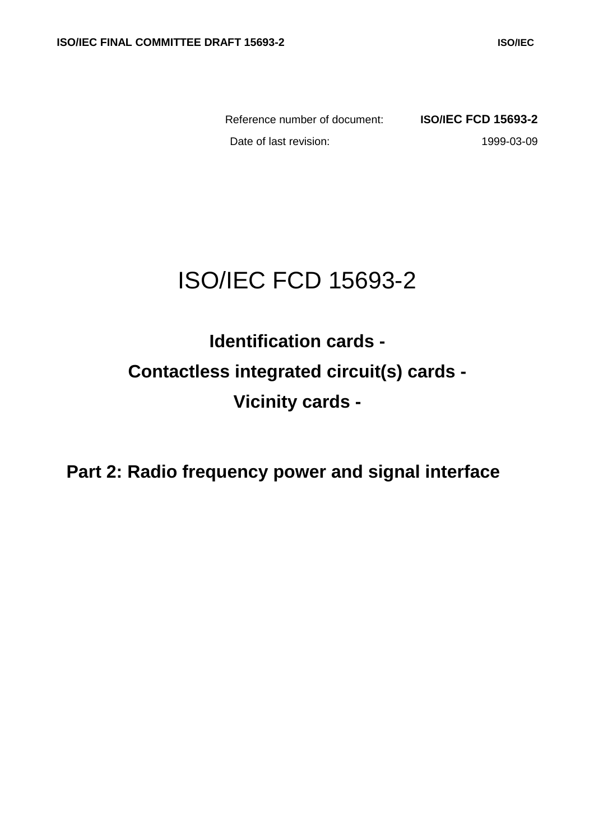Reference number of document: **ISO/IEC FCD 15693-2** Date of last revision: 1999-03-09

# ISO/IEC FCD 15693-2

**Identification cards - Contactless integrated circuit(s) cards - Vicinity cards -**

**Part 2: Radio frequency power and signal interface**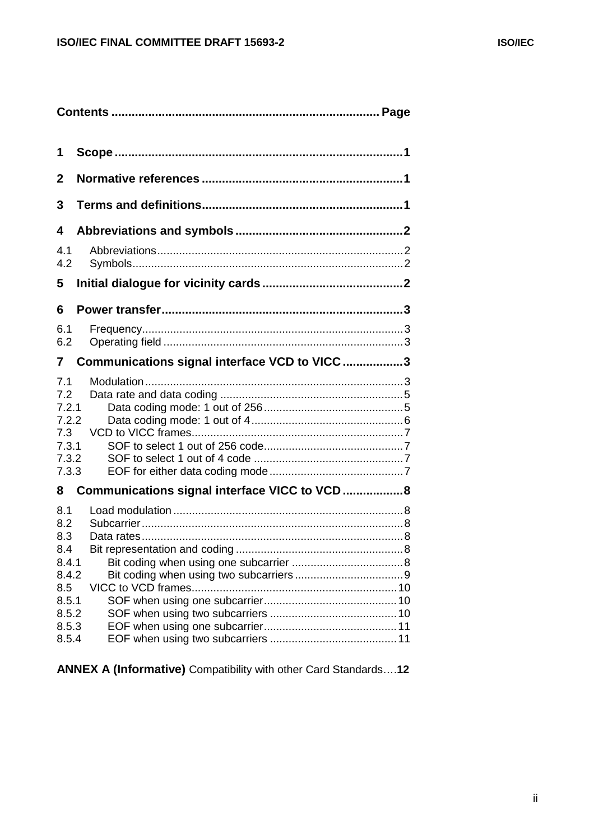| 1                                                                                     |                                               |  |  |  |
|---------------------------------------------------------------------------------------|-----------------------------------------------|--|--|--|
| $\mathbf 2$                                                                           |                                               |  |  |  |
| 3                                                                                     |                                               |  |  |  |
| 4                                                                                     |                                               |  |  |  |
| 4.1<br>4.2                                                                            |                                               |  |  |  |
| 5                                                                                     |                                               |  |  |  |
| 6                                                                                     |                                               |  |  |  |
| 6.1<br>6.2                                                                            |                                               |  |  |  |
| 7                                                                                     | Communications signal interface VCD to VICC 3 |  |  |  |
| 7.1<br>7.2<br>7.2.1<br>7.2.2<br>7.3<br>7.3.1<br>7.3.2<br>7.3.3                        |                                               |  |  |  |
| 8                                                                                     | Communications signal interface VICC to VCD8  |  |  |  |
| 8.1<br>8.2<br>8.3<br>8.4<br>8.4.1<br>8.4.2<br>8.5<br>8.5.1<br>8.5.2<br>8.5.3<br>8.5.4 |                                               |  |  |  |

**ANNEX A (Informative)** Compatibility with other Card Standards….**12**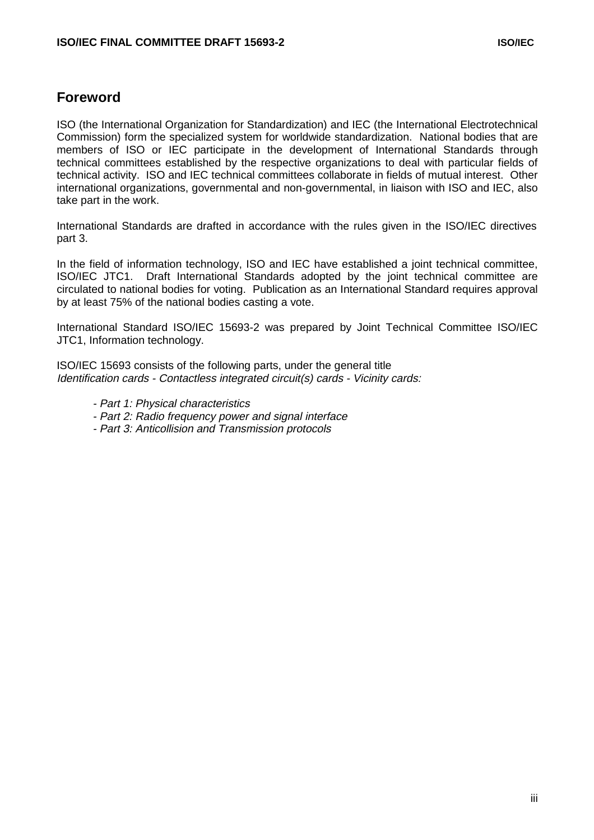# **Foreword**

ISO (the International Organization for Standardization) and IEC (the International Electrotechnical Commission) form the specialized system for worldwide standardization. National bodies that are members of ISO or IEC participate in the development of International Standards through technical committees established by the respective organizations to deal with particular fields of technical activity. ISO and IEC technical committees collaborate in fields of mutual interest. Other international organizations, governmental and non-governmental, in liaison with ISO and IEC, also take part in the work.

International Standards are drafted in accordance with the rules given in the ISO/IEC directives part 3.

In the field of information technology, ISO and IEC have established a joint technical committee, ISO/IEC JTC1. Draft International Standards adopted by the joint technical committee are circulated to national bodies for voting. Publication as an International Standard requires approval by at least 75% of the national bodies casting a vote.

International Standard ISO/IEC 15693-2 was prepared by Joint Technical Committee ISO/IEC JTC1, Information technology.

ISO/IEC 15693 consists of the following parts, under the general title Identification cards - Contactless integrated circuit(s) cards - Vicinity cards:

- Part 1: Physical characteristics
- Part 2: Radio frequency power and signal interface
- Part 3: Anticollision and Transmission protocols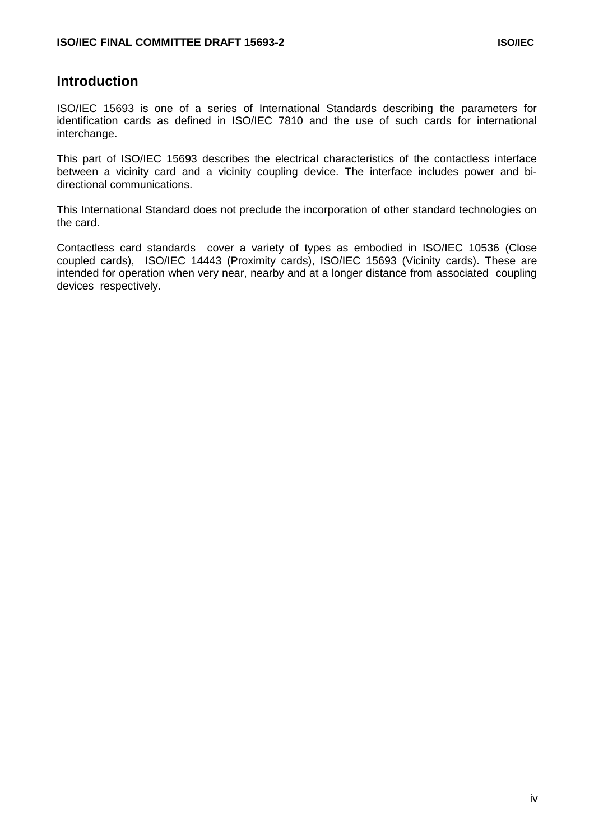### **Introduction**

ISO/IEC 15693 is one of a series of International Standards describing the parameters for identification cards as defined in ISO/IEC 7810 and the use of such cards for international interchange.

This part of ISO/IEC 15693 describes the electrical characteristics of the contactless interface between a vicinity card and a vicinity coupling device. The interface includes power and bidirectional communications.

This International Standard does not preclude the incorporation of other standard technologies on the card.

Contactless card standards cover a variety of types as embodied in ISO/IEC 10536 (Close coupled cards), ISO/IEC 14443 (Proximity cards), ISO/IEC 15693 (Vicinity cards). These are intended for operation when very near, nearby and at a longer distance from associated coupling devices respectively.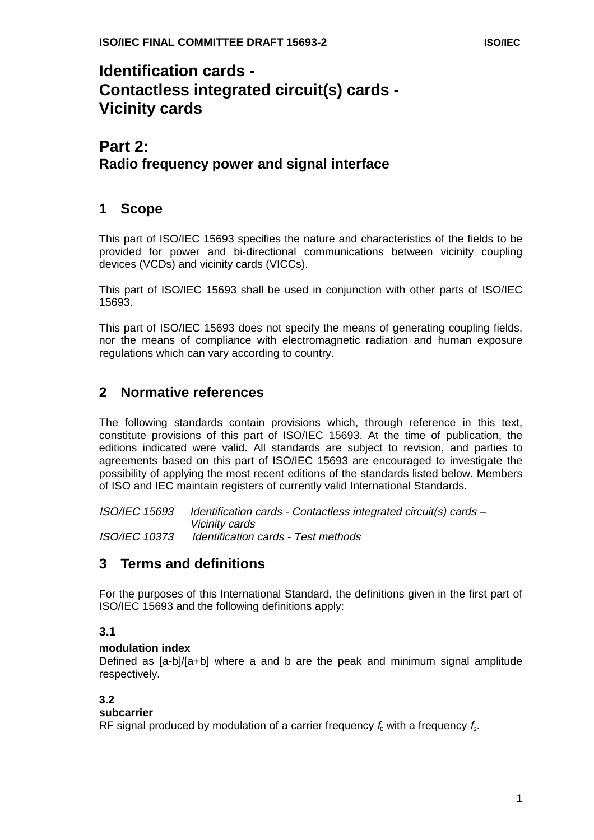# **Identification cards - Contactless integrated circuit(s) cards - Vicinity cards**

# **Part 2: Radio frequency power and signal interface**

# **1 Scope**

This part of ISO/IEC 15693 specifies the nature and characteristics of the fields to be provided for power and bi-directional communications between vicinity coupling devices (VCDs) and vicinity cards (VICCs).

This part of ISO/IEC 15693 shall be used in conjunction with other parts of ISO/IEC 15693.

This part of ISO/IEC 15693 does not specify the means of generating coupling fields, nor the means of compliance with electromagnetic radiation and human exposure regulations which can vary according to country.

# **2 Normative references**

The following standards contain provisions which, through reference in this text, constitute provisions of this part of ISO/IEC 15693. At the time of publication, the editions indicated were valid. All standards are subject to revision, and parties to agreements based on this part of ISO/IEC 15693 are encouraged to investigate the possibility of applying the most recent editions of the standards listed below. Members of ISO and IEC maintain registers of currently valid International Standards.

ISO/IEC 15693 Identification cards - Contactless integrated circuit(s) cards – Vicinity cards ISO/IEC 10373 Identification cards - Test methods

# **3 Terms and definitions**

For the purposes of this International Standard, the definitions given in the first part of ISO/IEC 15693 and the following definitions apply:

### **3.1**

#### **modulation index**

Defined as [a-b]/[a+b] where a and b are the peak and minimum signal amplitude respectively.

#### **3.2**

#### **subcarrier**

RF signal produced by modulation of a carrier frequency  $f_c$  with a frequency  $f_s$ .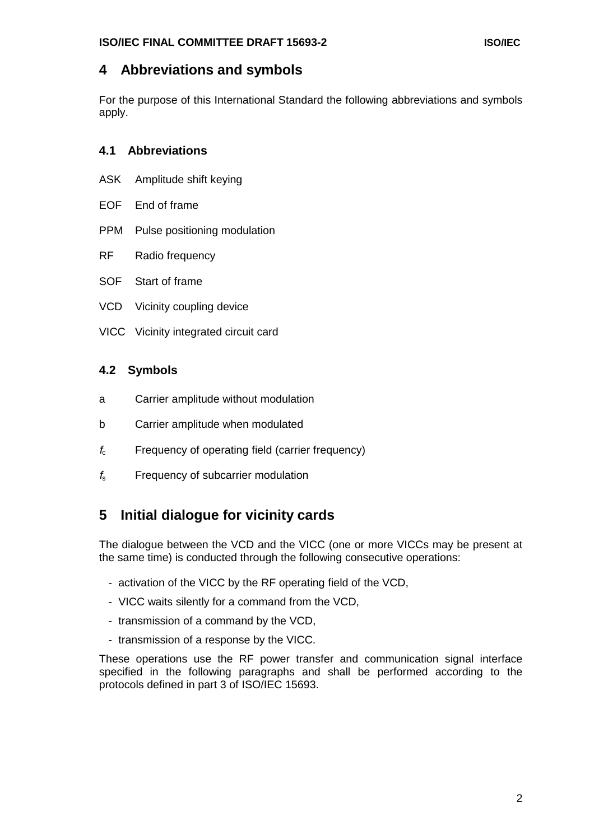# **4 Abbreviations and symbols**

For the purpose of this International Standard the following abbreviations and symbols apply.

#### **4.1 Abbreviations**

- ASK Amplitude shift keying
- EOF End of frame
- PPM Pulse positioning modulation
- RF Radio frequency
- SOF Start of frame
- VCD Vicinity coupling device
- VICC Vicinity integrated circuit card

#### **4.2 Symbols**

- a Carrier amplitude without modulation
- b Carrier amplitude when modulated
- $f_c$  Frequency of operating field (carrier frequency)
- $f<sub>s</sub>$  Frequency of subcarrier modulation

# **5 Initial dialogue for vicinity cards**

The dialogue between the VCD and the VICC (one or more VICCs may be present at the same time) is conducted through the following consecutive operations:

- activation of the VICC by the RF operating field of the VCD,
- VICC waits silently for a command from the VCD,
- transmission of a command by the VCD,
- transmission of a response by the VICC.

These operations use the RF power transfer and communication signal interface specified in the following paragraphs and shall be performed according to the protocols defined in part 3 of ISO/IEC 15693.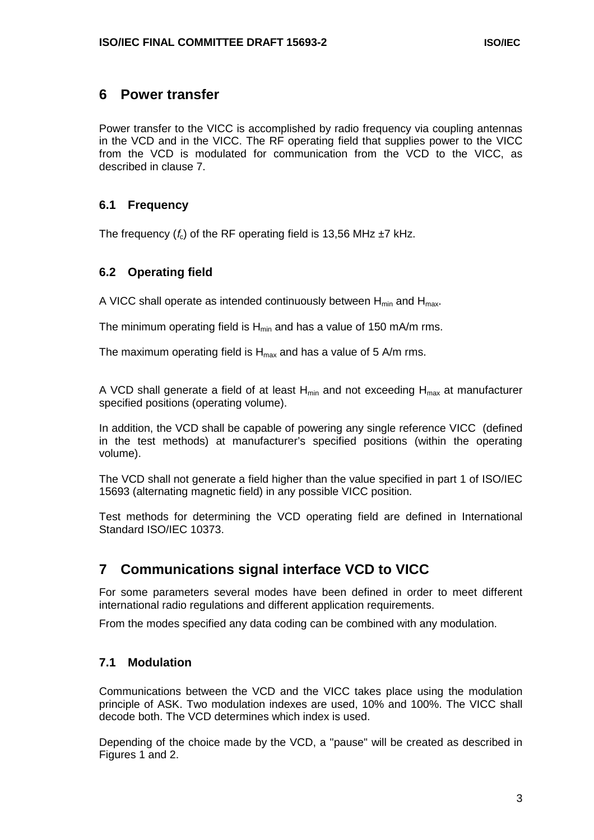### **6 Power transfer**

Power transfer to the VICC is accomplished by radio frequency via coupling antennas in the VCD and in the VICC. The RF operating field that supplies power to the VICC from the VCD is modulated for communication from the VCD to the VICC, as described in clause 7.

#### **6.1 Frequency**

The frequency  $(f_c)$  of the RF operating field is 13,56 MHz  $\pm$ 7 kHz.

#### **6.2 Operating field**

A VICC shall operate as intended continuously between  $H_{min}$  and  $H_{max}$ .

The minimum operating field is  $H_{min}$  and has a value of 150 mA/m rms.

The maximum operating field is  $H_{\text{max}}$  and has a value of 5 A/m rms.

A VCD shall generate a field of at least  $H_{min}$  and not exceeding  $H_{max}$  at manufacturer specified positions (operating volume).

In addition, the VCD shall be capable of powering any single reference VICC (defined in the test methods) at manufacturer's specified positions (within the operating volume).

The VCD shall not generate a field higher than the value specified in part 1 of ISO/IEC 15693 (alternating magnetic field) in any possible VICC position.

Test methods for determining the VCD operating field are defined in International Standard ISO/IEC 10373.

# **7 Communications signal interface VCD to VICC**

For some parameters several modes have been defined in order to meet different international radio regulations and different application requirements.

From the modes specified any data coding can be combined with any modulation.

#### **7.1 Modulation**

Communications between the VCD and the VICC takes place using the modulation principle of ASK. Two modulation indexes are used, 10% and 100%. The VICC shall decode both. The VCD determines which index is used.

Depending of the choice made by the VCD, a "pause" will be created as described in Figures 1 and 2.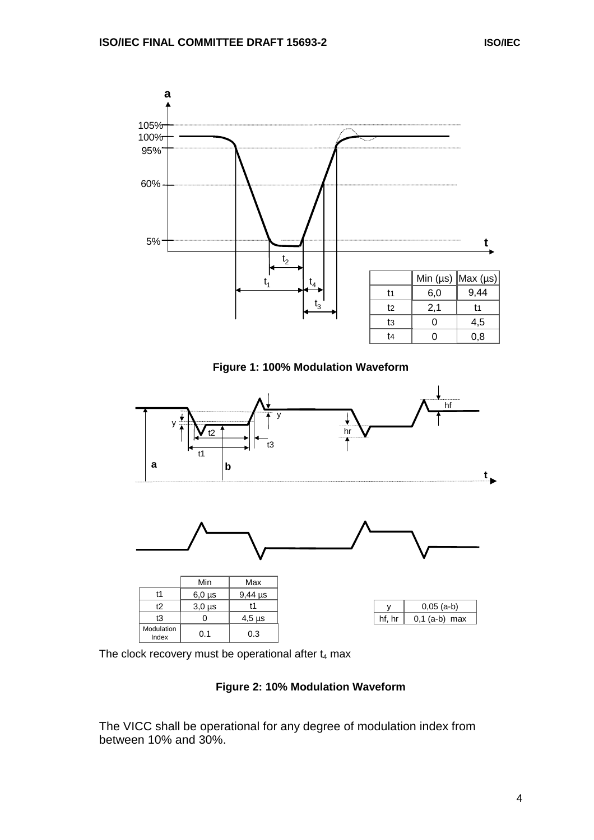

**Figure 1: 100% Modulation Waveform**



The clock recovery must be operational after  $t_4$  max

#### **Figure 2: 10% Modulation Waveform**

The VICC shall be operational for any degree of modulation index from between 10% and 30%.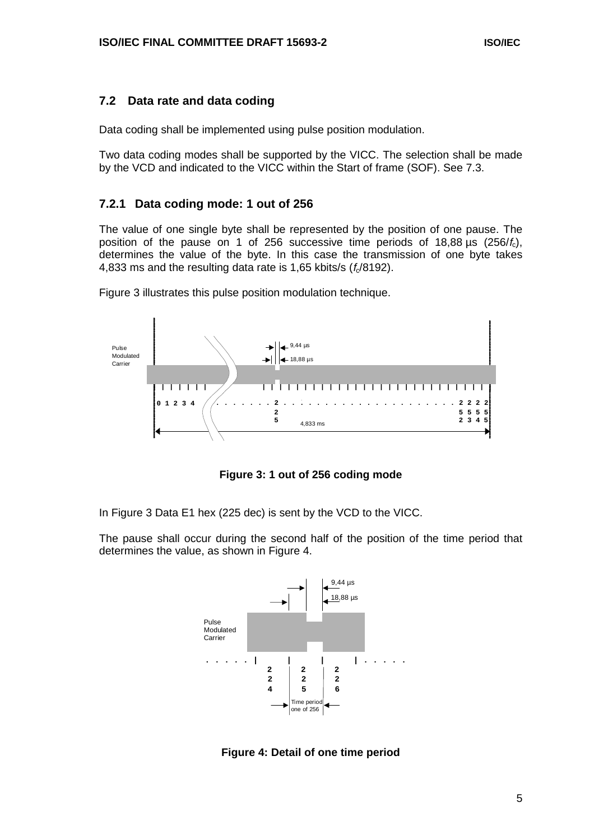#### **7.2 Data rate and data coding**

Data coding shall be implemented using pulse position modulation.

Two data coding modes shall be supported by the VICC. The selection shall be made by the VCD and indicated to the VICC within the Start of frame (SOF). See 7.3.

#### **7.2.1 Data coding mode: 1 out of 256**

The value of one single byte shall be represented by the position of one pause. The position of the pause on 1 of 256 successive time periods of 18,88  $\mu$ s (256/ $f_c$ ), determines the value of the byte. In this case the transmission of one byte takes 4,833 ms and the resulting data rate is 1,65 kbits/s  $(f_0/8192)$ .



Figure 3 illustrates this pulse position modulation technique.

**Figure 3: 1 out of 256 coding mode**

In Figure 3 Data E1 hex (225 dec) is sent by the VCD to the VICC.

The pause shall occur during the second half of the position of the time period that determines the value, as shown in Figure 4.



**Figure 4: Detail of one time period**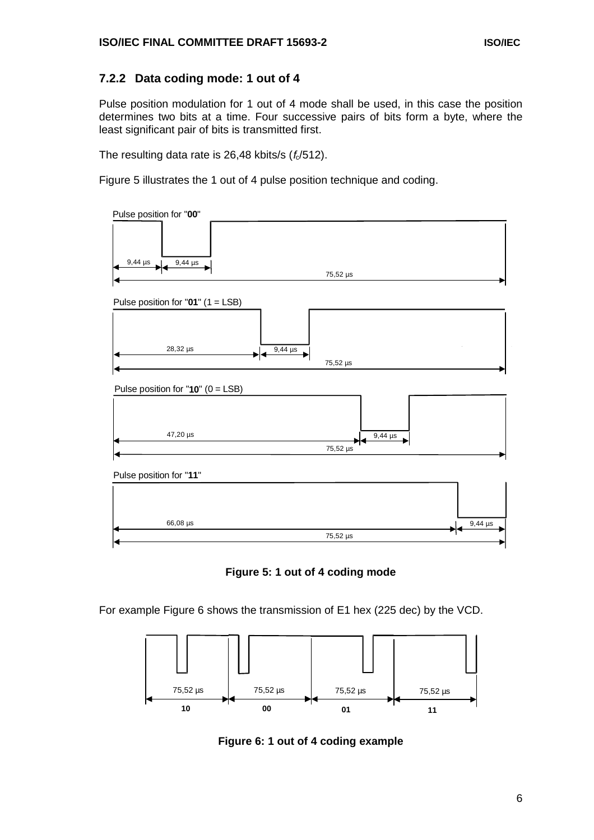#### **7.2.2 Data coding mode: 1 out of 4**

Pulse position modulation for 1 out of 4 mode shall be used, in this case the position determines two bits at a time. Four successive pairs of bits form a byte, where the least significant pair of bits is transmitted first.

The resulting data rate is 26,48 kbits/s  $(f_0/512)$ .

Figure 5 illustrates the 1 out of 4 pulse position technique and coding.





For example Figure 6 shows the transmission of E1 hex (225 dec) by the VCD.



**Figure 6: 1 out of 4 coding example**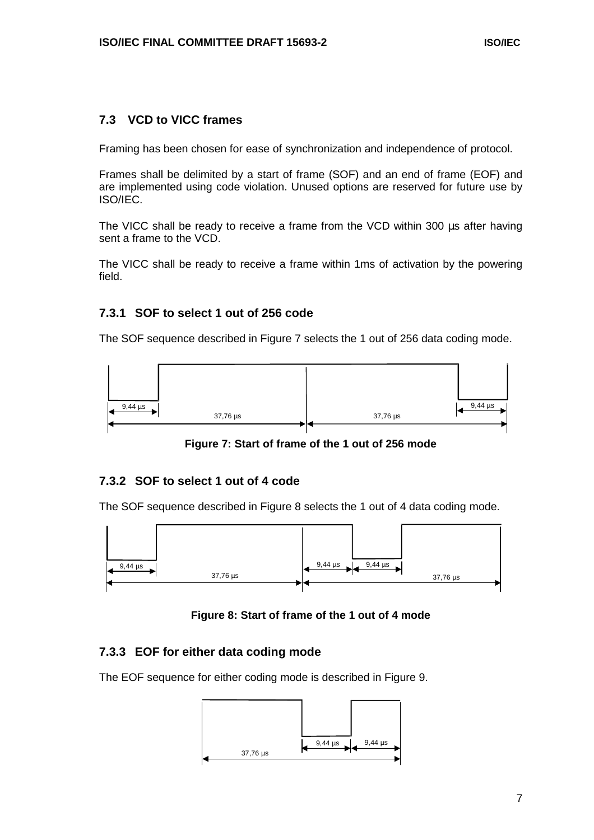#### **7.3 VCD to VICC frames**

Framing has been chosen for ease of synchronization and independence of protocol.

Frames shall be delimited by a start of frame (SOF) and an end of frame (EOF) and are implemented using code violation. Unused options are reserved for future use by ISO/IEC.

The VICC shall be ready to receive a frame from the VCD within 300 us after having sent a frame to the VCD.

The VICC shall be ready to receive a frame within 1ms of activation by the powering field.

#### **7.3.1 SOF to select 1 out of 256 code**

The SOF sequence described in Figure 7 selects the 1 out of 256 data coding mode.



**Figure 7: Start of frame of the 1 out of 256 mode**

#### **7.3.2 SOF to select 1 out of 4 code**

The SOF sequence described in Figure 8 selects the 1 out of 4 data coding mode.



**Figure 8: Start of frame of the 1 out of 4 mode**

#### **7.3.3 EOF for either data coding mode**

The EOF sequence for either coding mode is described in Figure 9.

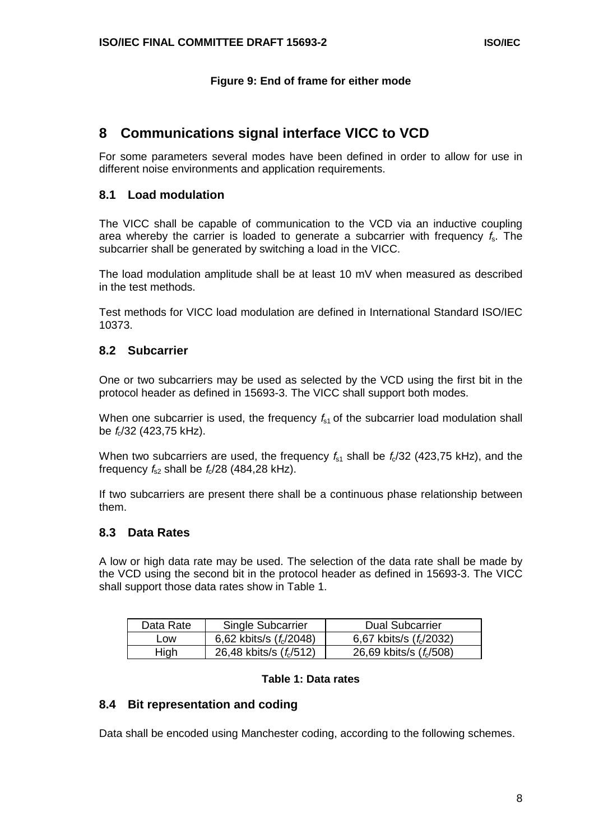#### **Figure 9: End of frame for either mode**

# **8 Communications signal interface VICC to VCD**

For some parameters several modes have been defined in order to allow for use in different noise environments and application requirements.

#### **8.1 Load modulation**

The VICC shall be capable of communication to the VCD via an inductive coupling area whereby the carrier is loaded to generate a subcarrier with frequency  $f_s$ . The subcarrier shall be generated by switching a load in the VICC.

The load modulation amplitude shall be at least 10 mV when measured as described in the test methods.

Test methods for VICC load modulation are defined in International Standard ISO/IEC 10373.

#### **8.2 Subcarrier**

One or two subcarriers may be used as selected by the VCD using the first bit in the protocol header as defined in 15693-3. The VICC shall support both modes.

When one subcarrier is used, the frequency  $f_{s1}$  of the subcarrier load modulation shall be  $f_c$ /32 (423,75 kHz).

When two subcarriers are used, the frequency  $f<sub>s1</sub>$  shall be  $f<sub>s</sub>/32$  (423,75 kHz), and the frequency  $f_{s2}$  shall be  $f_c/28$  (484,28 kHz).

If two subcarriers are present there shall be a continuous phase relationship between them.

#### **8.3 Data Rates**

A low or high data rate may be used. The selection of the data rate shall be made by the VCD using the second bit in the protocol header as defined in 15693-3. The VICC shall support those data rates show in Table 1.

| Data Rate | Single Subcarrier                   | <b>Dual Subcarrier</b>              |
|-----------|-------------------------------------|-------------------------------------|
| LOW       | 6,62 kbits/s $(f_0/2048)$           | 6,67 kbits/s $(f_0/2032)$           |
| High      | 26,48 kbits/s (f <sub>c</sub> /512) | 26,69 kbits/s (f <sub>c</sub> /508) |

#### **Table 1: Data rates**

#### **8.4 Bit representation and coding**

Data shall be encoded using Manchester coding, according to the following schemes.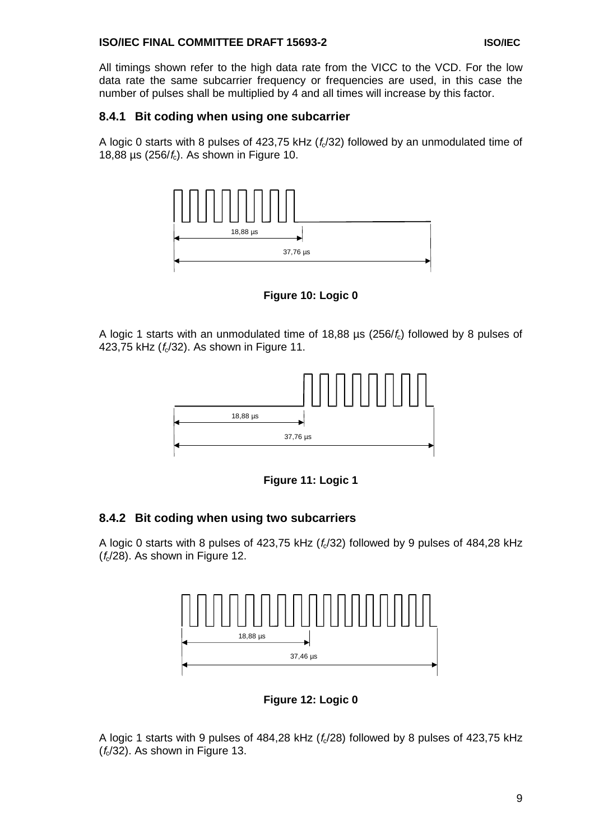#### **ISO/IEC FINAL COMMITTEE DRAFT 15693-2** © ISO/IEC

All timings shown refer to the high data rate from the VICC to the VCD. For the low data rate the same subcarrier frequency or frequencies are used, in this case the number of pulses shall be multiplied by 4 and all times will increase by this factor.

#### **8.4.1 Bit coding when using one subcarrier**

A logic 0 starts with 8 pulses of 423,75 kHz  $(f<sub>c</sub>/32)$  followed by an unmodulated time of 18,88 µs (256/ $f_c$ ). As shown in Figure 10.



**Figure 10: Logic 0**

A logic 1 starts with an unmodulated time of 18,88  $\mu$ s (256/ $f_c$ ) followed by 8 pulses of 423,75 kHz  $(f_6/32)$ . As shown in Figure 11.



**Figure 11: Logic 1**

#### **8.4.2 Bit coding when using two subcarriers**

A logic 0 starts with 8 pulses of 423,75 kHz  $(f_0/32)$  followed by 9 pulses of 484,28 kHz  $(f<sub>c</sub>/28)$ . As shown in Figure 12.



**Figure 12: Logic 0**

A logic 1 starts with 9 pulses of 484,28 kHz  $(f_0/28)$  followed by 8 pulses of 423,75 kHz  $(f_c/32)$ . As shown in Figure 13.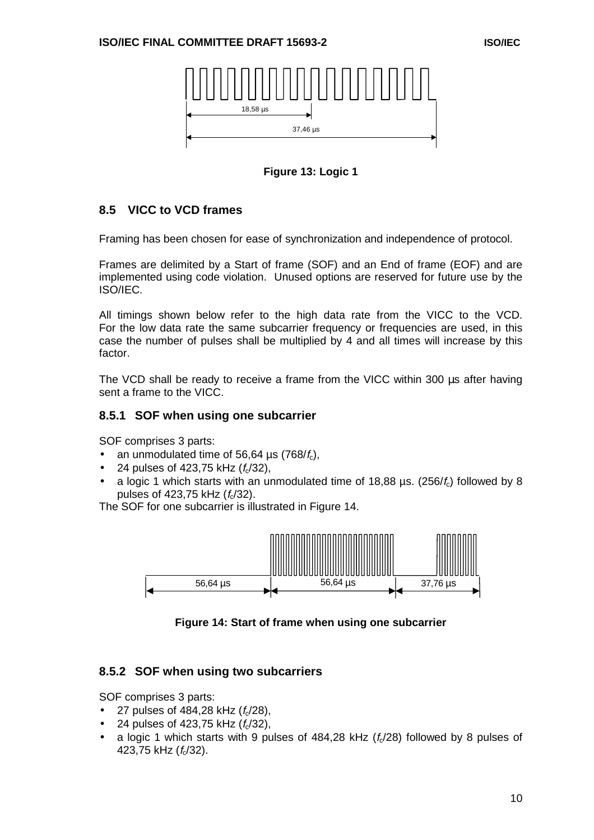

**Figure 13: Logic 1**

#### **8.5 VICC to VCD frames**

Framing has been chosen for ease of synchronization and independence of protocol.

Frames are delimited by a Start of frame (SOF) and an End of frame (EOF) and are implemented using code violation. Unused options are reserved for future use by the ISO/IEC.

All timings shown below refer to the high data rate from the VICC to the VCD. For the low data rate the same subcarrier frequency or frequencies are used, in this case the number of pulses shall be multiplied by 4 and all times will increase by this factor.

The VCD shall be ready to receive a frame from the VICC within 300 us after having sent a frame to the VICC.

#### **8.5.1 SOF when using one subcarrier**

SOF comprises 3 parts:

- an unmodulated time of 56,64  $\mu$ s (768/ $f_c$ ),
- 24 pulses of 423,75 kHz  $(f_0/32)$ ,
- a logic 1 which starts with an unmodulated time of  $18,88$  µs. (256/ $f<sub>c</sub>$ ) followed by 8 pulses of 423,75 kHz  $(f_c/32)$ .

The SOF for one subcarrier is illustrated in Figure 14.



**Figure 14: Start of frame when using one subcarrier**

#### **8.5.2 SOF when using two subcarriers**

SOF comprises 3 parts:

- 27 pulses of 484,28 kHz  $(f_0/28)$ ,
- 24 pulses of 423,75 kHz  $(f_0/32)$ ,
- a logic 1 which starts with 9 pulses of  $484.28$  kHz  $(f<sub>6</sub>/28)$  followed by 8 pulses of 423,75 kHz  $(f_6/32)$ .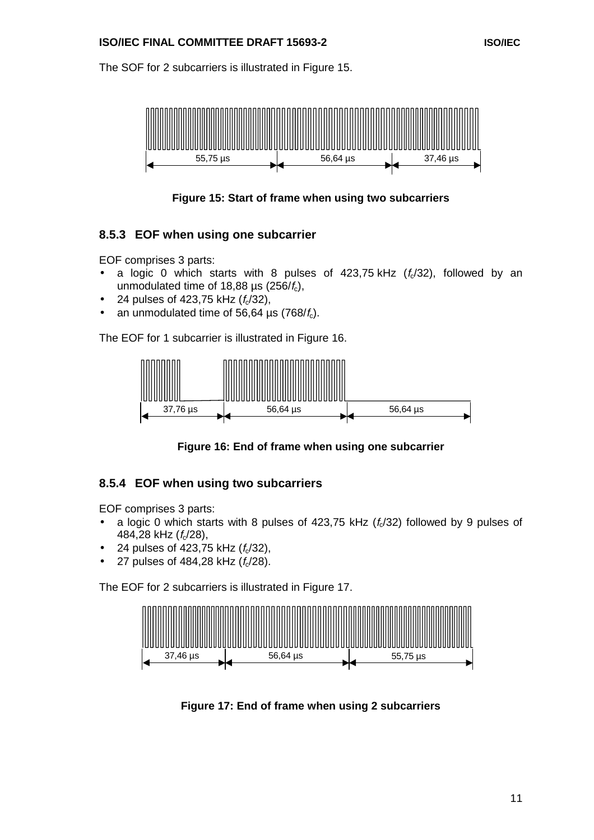#### **ISO/IEC FINAL COMMITTEE DRAFT 15693-2** © ISO/IEC

The SOF for 2 subcarriers is illustrated in Figure 15.



**Figure 15: Start of frame when using two subcarriers**

#### **8.5.3 EOF when using one subcarrier**

EOF comprises 3 parts:

- a logic 0 which starts with 8 pulses of  $423,75$  kHz  $(f<sub>c</sub>/32)$ , followed by an unmodulated time of 18,88  $\mu$ s (256/ $f_c$ ),
- 24 pulses of 423,75 kHz  $(f_0/32)$ ,
- an unmodulated time of 56,64 us  $(768/f_c)$ .

The EOF for 1 subcarrier is illustrated in Figure 16.



**Figure 16: End of frame when using one subcarrier**

#### **8.5.4 EOF when using two subcarriers**

EOF comprises 3 parts:

- a logic 0 which starts with 8 pulses of 423,75 kHz  $(f<sub>c</sub>/32)$  followed by 9 pulses of 484,28 kHz  $(f<sub>c</sub>/28)$ ,
- 24 pulses of 423,75 kHz  $(f_0/32)$ ,
- 27 pulses of 484,28 kHz  $(f_0/28)$ .

The EOF for 2 subcarriers is illustrated in Figure 17.



**Figure 17: End of frame when using 2 subcarriers**